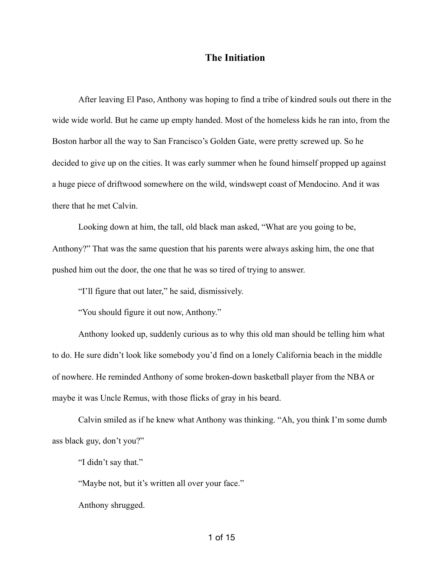## **The Initiation**

After leaving El Paso, Anthony was hoping to find a tribe of kindred souls out there in the wide wide world. But he came up empty handed. Most of the homeless kids he ran into, from the Boston harbor all the way to San Francisco's Golden Gate, were pretty screwed up. So he decided to give up on the cities. It was early summer when he found himself propped up against a huge piece of driftwood somewhere on the wild, windswept coast of Mendocino. And it was there that he met Calvin.

Looking down at him, the tall, old black man asked, "What are you going to be, Anthony?" That was the same question that his parents were always asking him, the one that pushed him out the door, the one that he was so tired of trying to answer.

"I'll figure that out later," he said, dismissively.

"You should figure it out now, Anthony."

Anthony looked up, suddenly curious as to why this old man should be telling him what to do. He sure didn't look like somebody you'd find on a lonely California beach in the middle of nowhere. He reminded Anthony of some broken-down basketball player from the NBA or maybe it was Uncle Remus, with those flicks of gray in his beard.

Calvin smiled as if he knew what Anthony was thinking. "Ah, you think I'm some dumb ass black guy, don't you?"

"I didn't say that."

"Maybe not, but it's written all over your face."

Anthony shrugged.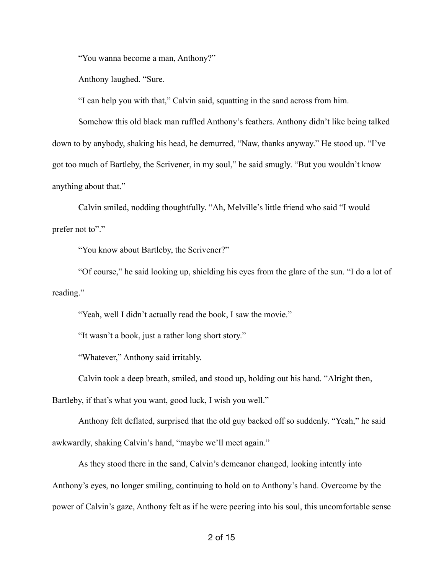"You wanna become a man, Anthony?"

Anthony laughed. "Sure.

"I can help you with that," Calvin said, squatting in the sand across from him.

Somehow this old black man ruffled Anthony's feathers. Anthony didn't like being talked down to by anybody, shaking his head, he demurred, "Naw, thanks anyway." He stood up. "I've got too much of Bartleby, the Scrivener, in my soul," he said smugly. "But you wouldn't know anything about that."

Calvin smiled, nodding thoughtfully. "Ah, Melville's little friend who said "I would prefer not to"."

"You know about Bartleby, the Scrivener?"

"Of course," he said looking up, shielding his eyes from the glare of the sun. "I do a lot of reading."

"Yeah, well I didn't actually read the book, I saw the movie."

"It wasn't a book, just a rather long short story."

"Whatever," Anthony said irritably.

Calvin took a deep breath, smiled, and stood up, holding out his hand. "Alright then,

Bartleby, if that's what you want, good luck, I wish you well."

Anthony felt deflated, surprised that the old guy backed off so suddenly. "Yeah," he said awkwardly, shaking Calvin's hand, "maybe we'll meet again."

As they stood there in the sand, Calvin's demeanor changed, looking intently into Anthony's eyes, no longer smiling, continuing to hold on to Anthony's hand. Overcome by the power of Calvin's gaze, Anthony felt as if he were peering into his soul, this uncomfortable sense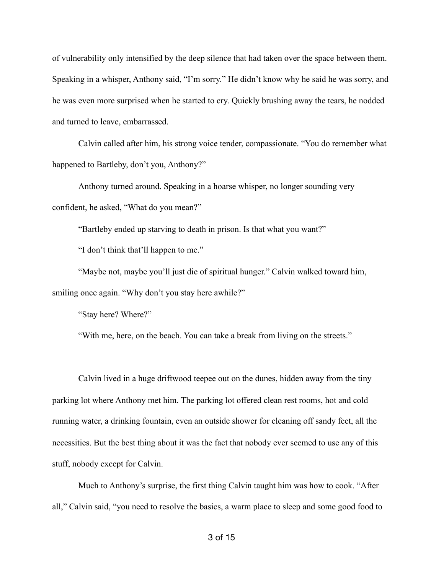of vulnerability only intensified by the deep silence that had taken over the space between them. Speaking in a whisper, Anthony said, "I'm sorry." He didn't know why he said he was sorry, and he was even more surprised when he started to cry. Quickly brushing away the tears, he nodded and turned to leave, embarrassed.

Calvin called after him, his strong voice tender, compassionate. "You do remember what happened to Bartleby, don't you, Anthony?"

Anthony turned around. Speaking in a hoarse whisper, no longer sounding very confident, he asked, "What do you mean?"

"Bartleby ended up starving to death in prison. Is that what you want?"

"I don't think that'll happen to me."

"Maybe not, maybe you'll just die of spiritual hunger." Calvin walked toward him, smiling once again. "Why don't you stay here awhile?"

"Stay here? Where?"

"With me, here, on the beach. You can take a break from living on the streets."

Calvin lived in a huge driftwood teepee out on the dunes, hidden away from the tiny parking lot where Anthony met him. The parking lot offered clean rest rooms, hot and cold running water, a drinking fountain, even an outside shower for cleaning off sandy feet, all the necessities. But the best thing about it was the fact that nobody ever seemed to use any of this stuff, nobody except for Calvin.

Much to Anthony's surprise, the first thing Calvin taught him was how to cook. "After all," Calvin said, "you need to resolve the basics, a warm place to sleep and some good food to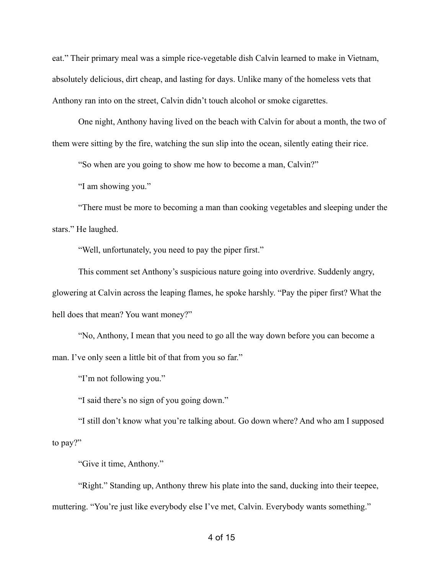eat." Their primary meal was a simple rice-vegetable dish Calvin learned to make in Vietnam, absolutely delicious, dirt cheap, and lasting for days. Unlike many of the homeless vets that Anthony ran into on the street, Calvin didn't touch alcohol or smoke cigarettes.

One night, Anthony having lived on the beach with Calvin for about a month, the two of them were sitting by the fire, watching the sun slip into the ocean, silently eating their rice.

"So when are you going to show me how to become a man, Calvin?"

"I am showing you."

"There must be more to becoming a man than cooking vegetables and sleeping under the stars." He laughed.

"Well, unfortunately, you need to pay the piper first."

This comment set Anthony's suspicious nature going into overdrive. Suddenly angry, glowering at Calvin across the leaping flames, he spoke harshly. "Pay the piper first? What the hell does that mean? You want money?"

"No, Anthony, I mean that you need to go all the way down before you can become a man. I've only seen a little bit of that from you so far."

"I'm not following you."

"I said there's no sign of you going down."

"I still don't know what you're talking about. Go down where? And who am I supposed to pay?"

"Give it time, Anthony."

"Right." Standing up, Anthony threw his plate into the sand, ducking into their teepee, muttering. "You're just like everybody else I've met, Calvin. Everybody wants something."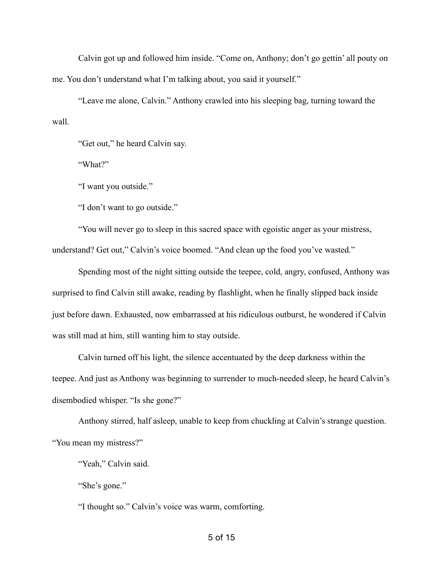Calvin got up and followed him inside. "Come on, Anthony; don't go gettin' all pouty on me. You don't understand what I'm talking about, you said it yourself."

"Leave me alone, Calvin." Anthony crawled into his sleeping bag, turning toward the wall.

"Get out," he heard Calvin say.

"What?"

"I want you outside."

"I don't want to go outside."

"You will never go to sleep in this sacred space with egoistic anger as your mistress, understand? Get out," Calvin's voice boomed. "And clean up the food you've wasted."

Spending most of the night sitting outside the teepee, cold, angry, confused, Anthony was surprised to find Calvin still awake, reading by flashlight, when he finally slipped back inside just before dawn. Exhausted, now embarrassed at his ridiculous outburst, he wondered if Calvin was still mad at him, still wanting him to stay outside.

Calvin turned off his light, the silence accentuated by the deep darkness within the teepee. And just as Anthony was beginning to surrender to much-needed sleep, he heard Calvin's disembodied whisper. "Is she gone?"

Anthony stirred, half asleep, unable to keep from chuckling at Calvin's strange question. "You mean my mistress?"

"Yeah," Calvin said.

"She's gone."

"I thought so." Calvin's voice was warm, comforting.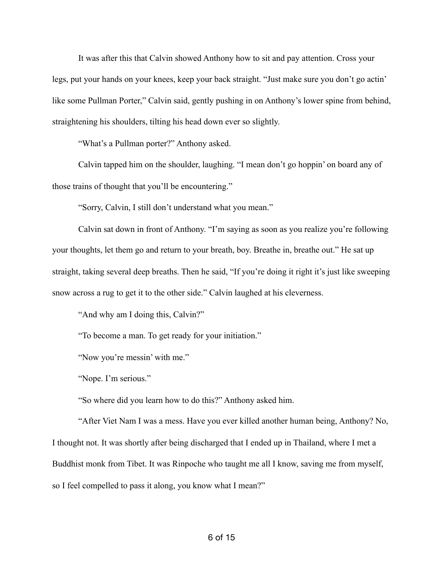It was after this that Calvin showed Anthony how to sit and pay attention. Cross your legs, put your hands on your knees, keep your back straight. "Just make sure you don't go actin' like some Pullman Porter," Calvin said, gently pushing in on Anthony's lower spine from behind, straightening his shoulders, tilting his head down ever so slightly.

"What's a Pullman porter?" Anthony asked.

Calvin tapped him on the shoulder, laughing. "I mean don't go hoppin' on board any of those trains of thought that you'll be encountering."

"Sorry, Calvin, I still don't understand what you mean."

Calvin sat down in front of Anthony. "I'm saying as soon as you realize you're following your thoughts, let them go and return to your breath, boy. Breathe in, breathe out." He sat up straight, taking several deep breaths. Then he said, "If you're doing it right it's just like sweeping snow across a rug to get it to the other side." Calvin laughed at his cleverness.

"And why am I doing this, Calvin?"

"To become a man. To get ready for your initiation."

"Now you're messin' with me."

"Nope. I'm serious."

"So where did you learn how to do this?" Anthony asked him.

"After Viet Nam I was a mess. Have you ever killed another human being, Anthony? No, I thought not. It was shortly after being discharged that I ended up in Thailand, where I met a Buddhist monk from Tibet. It was Rinpoche who taught me all I know, saving me from myself, so I feel compelled to pass it along, you know what I mean?"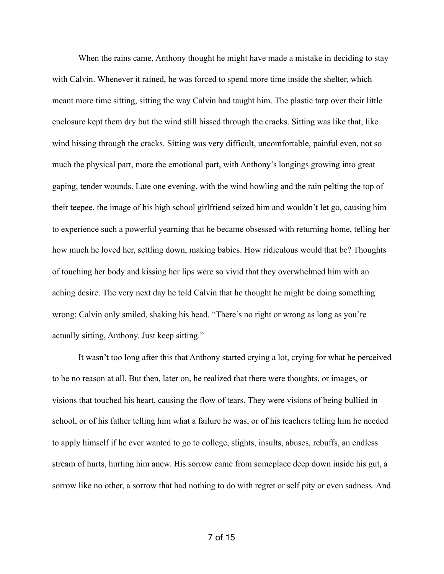When the rains came, Anthony thought he might have made a mistake in deciding to stay with Calvin. Whenever it rained, he was forced to spend more time inside the shelter, which meant more time sitting, sitting the way Calvin had taught him. The plastic tarp over their little enclosure kept them dry but the wind still hissed through the cracks. Sitting was like that, like wind hissing through the cracks. Sitting was very difficult, uncomfortable, painful even, not so much the physical part, more the emotional part, with Anthony's longings growing into great gaping, tender wounds. Late one evening, with the wind howling and the rain pelting the top of their teepee, the image of his high school girlfriend seized him and wouldn't let go, causing him to experience such a powerful yearning that he became obsessed with returning home, telling her how much he loved her, settling down, making babies. How ridiculous would that be? Thoughts of touching her body and kissing her lips were so vivid that they overwhelmed him with an aching desire. The very next day he told Calvin that he thought he might be doing something wrong; Calvin only smiled, shaking his head. "There's no right or wrong as long as you're actually sitting, Anthony. Just keep sitting."

It wasn't too long after this that Anthony started crying a lot, crying for what he perceived to be no reason at all. But then, later on, he realized that there were thoughts, or images, or visions that touched his heart, causing the flow of tears. They were visions of being bullied in school, or of his father telling him what a failure he was, or of his teachers telling him he needed to apply himself if he ever wanted to go to college, slights, insults, abuses, rebuffs, an endless stream of hurts, hurting him anew. His sorrow came from someplace deep down inside his gut, a sorrow like no other, a sorrow that had nothing to do with regret or self pity or even sadness. And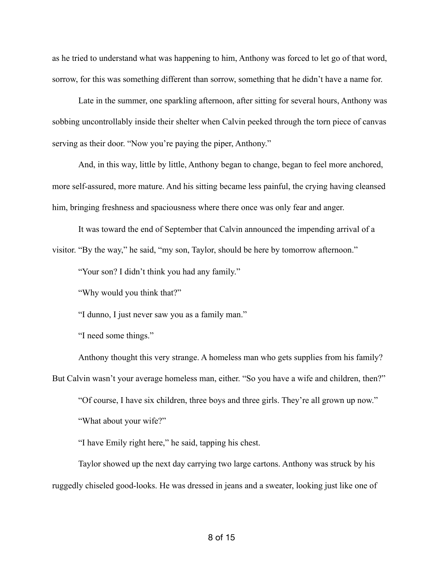as he tried to understand what was happening to him, Anthony was forced to let go of that word, sorrow, for this was something different than sorrow, something that he didn't have a name for.

Late in the summer, one sparkling afternoon, after sitting for several hours, Anthony was sobbing uncontrollably inside their shelter when Calvin peeked through the torn piece of canvas serving as their door. "Now you're paying the piper, Anthony."

And, in this way, little by little, Anthony began to change, began to feel more anchored, more self-assured, more mature. And his sitting became less painful, the crying having cleansed him, bringing freshness and spaciousness where there once was only fear and anger.

It was toward the end of September that Calvin announced the impending arrival of a visitor. "By the way," he said, "my son, Taylor, should be here by tomorrow afternoon."

"Your son? I didn't think you had any family."

"Why would you think that?"

"I dunno, I just never saw you as a family man."

"I need some things."

Anthony thought this very strange. A homeless man who gets supplies from his family? But Calvin wasn't your average homeless man, either. "So you have a wife and children, then?" "Of course, I have six children, three boys and three girls. They're all grown up now."

"What about your wife?"

"I have Emily right here," he said, tapping his chest.

Taylor showed up the next day carrying two large cartons. Anthony was struck by his ruggedly chiseled good-looks. He was dressed in jeans and a sweater, looking just like one of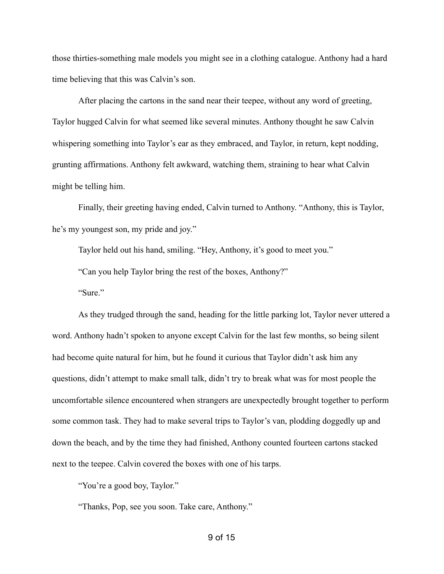those thirties-something male models you might see in a clothing catalogue. Anthony had a hard time believing that this was Calvin's son.

After placing the cartons in the sand near their teepee, without any word of greeting, Taylor hugged Calvin for what seemed like several minutes. Anthony thought he saw Calvin whispering something into Taylor's ear as they embraced, and Taylor, in return, kept nodding, grunting affirmations. Anthony felt awkward, watching them, straining to hear what Calvin might be telling him.

Finally, their greeting having ended, Calvin turned to Anthony. "Anthony, this is Taylor, he's my youngest son, my pride and joy."

Taylor held out his hand, smiling. "Hey, Anthony, it's good to meet you."

"Can you help Taylor bring the rest of the boxes, Anthony?"

"Sure"

As they trudged through the sand, heading for the little parking lot, Taylor never uttered a word. Anthony hadn't spoken to anyone except Calvin for the last few months, so being silent had become quite natural for him, but he found it curious that Taylor didn't ask him any questions, didn't attempt to make small talk, didn't try to break what was for most people the uncomfortable silence encountered when strangers are unexpectedly brought together to perform some common task. They had to make several trips to Taylor's van, plodding doggedly up and down the beach, and by the time they had finished, Anthony counted fourteen cartons stacked next to the teepee. Calvin covered the boxes with one of his tarps.

"You're a good boy, Taylor."

"Thanks, Pop, see you soon. Take care, Anthony."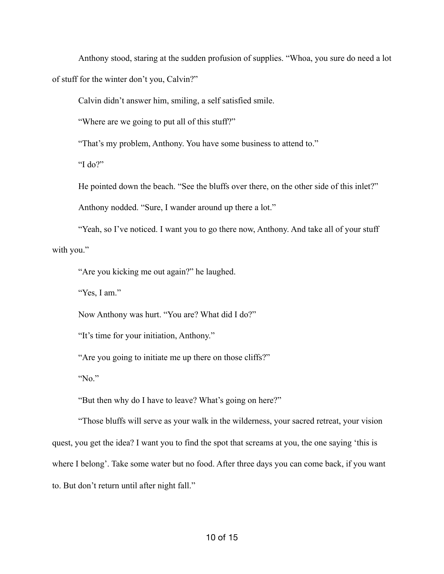Anthony stood, staring at the sudden profusion of supplies. "Whoa, you sure do need a lot of stuff for the winter don't you, Calvin?"

Calvin didn't answer him, smiling, a self satisfied smile.

"Where are we going to put all of this stuff?"

"That's my problem, Anthony. You have some business to attend to."

"I do?"

He pointed down the beach. "See the bluffs over there, on the other side of this inlet?"

Anthony nodded. "Sure, I wander around up there a lot."

"Yeah, so I've noticed. I want you to go there now, Anthony. And take all of your stuff with you."

"Are you kicking me out again?" he laughed.

"Yes, I am."

Now Anthony was hurt. "You are? What did I do?"

"It's time for your initiation, Anthony."

"Are you going to initiate me up there on those cliffs?"

"No."

"But then why do I have to leave? What's going on here?"

"Those bluffs will serve as your walk in the wilderness, your sacred retreat, your vision quest, you get the idea? I want you to find the spot that screams at you, the one saying 'this is where I belong'. Take some water but no food. After three days you can come back, if you want to. But don't return until after night fall."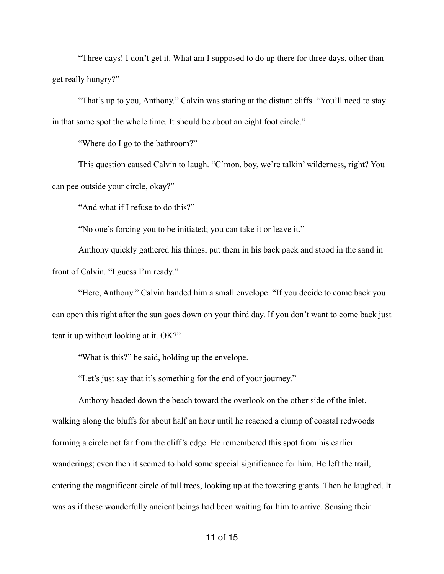"Three days! I don't get it. What am I supposed to do up there for three days, other than get really hungry?"

"That's up to you, Anthony." Calvin was staring at the distant cliffs. "You'll need to stay in that same spot the whole time. It should be about an eight foot circle."

"Where do I go to the bathroom?"

This question caused Calvin to laugh. "C'mon, boy, we're talkin' wilderness, right? You can pee outside your circle, okay?"

"And what if I refuse to do this?"

"No one's forcing you to be initiated; you can take it or leave it."

Anthony quickly gathered his things, put them in his back pack and stood in the sand in front of Calvin. "I guess I'm ready."

"Here, Anthony." Calvin handed him a small envelope. "If you decide to come back you can open this right after the sun goes down on your third day. If you don't want to come back just tear it up without looking at it. OK?"

"What is this?" he said, holding up the envelope.

"Let's just say that it's something for the end of your journey."

Anthony headed down the beach toward the overlook on the other side of the inlet, walking along the bluffs for about half an hour until he reached a clump of coastal redwoods forming a circle not far from the cliff's edge. He remembered this spot from his earlier wanderings; even then it seemed to hold some special significance for him. He left the trail, entering the magnificent circle of tall trees, looking up at the towering giants. Then he laughed. It was as if these wonderfully ancient beings had been waiting for him to arrive. Sensing their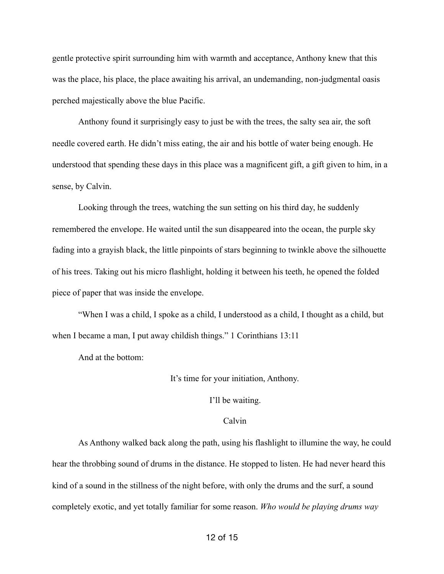gentle protective spirit surrounding him with warmth and acceptance, Anthony knew that this was the place, his place, the place awaiting his arrival, an undemanding, non-judgmental oasis perched majestically above the blue Pacific.

Anthony found it surprisingly easy to just be with the trees, the salty sea air, the soft needle covered earth. He didn't miss eating, the air and his bottle of water being enough. He understood that spending these days in this place was a magnificent gift, a gift given to him, in a sense, by Calvin.

Looking through the trees, watching the sun setting on his third day, he suddenly remembered the envelope. He waited until the sun disappeared into the ocean, the purple sky fading into a grayish black, the little pinpoints of stars beginning to twinkle above the silhouette of his trees. Taking out his micro flashlight, holding it between his teeth, he opened the folded piece of paper that was inside the envelope.

"When I was a child, I spoke as a child, I understood as a child, I thought as a child, but when I became a man, I put away childish things." 1 Corinthians 13:11

And at the bottom:

It's time for your initiation, Anthony.

I'll be waiting.

## Calvin

As Anthony walked back along the path, using his flashlight to illumine the way, he could hear the throbbing sound of drums in the distance. He stopped to listen. He had never heard this kind of a sound in the stillness of the night before, with only the drums and the surf, a sound completely exotic, and yet totally familiar for some reason. *Who would be playing drums way*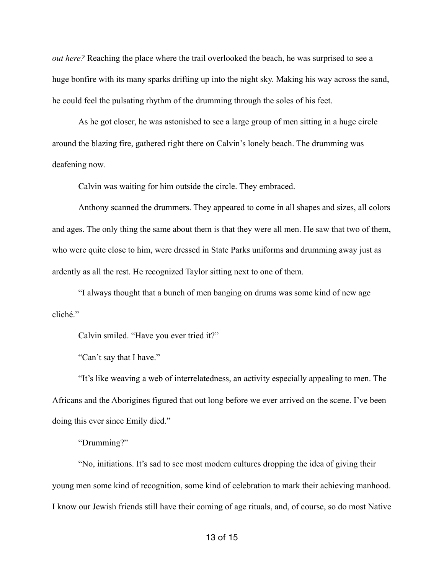*out here?* Reaching the place where the trail overlooked the beach, he was surprised to see a huge bonfire with its many sparks drifting up into the night sky. Making his way across the sand, he could feel the pulsating rhythm of the drumming through the soles of his feet.

As he got closer, he was astonished to see a large group of men sitting in a huge circle around the blazing fire, gathered right there on Calvin's lonely beach. The drumming was deafening now.

Calvin was waiting for him outside the circle. They embraced.

Anthony scanned the drummers. They appeared to come in all shapes and sizes, all colors and ages. The only thing the same about them is that they were all men. He saw that two of them, who were quite close to him, were dressed in State Parks uniforms and drumming away just as ardently as all the rest. He recognized Taylor sitting next to one of them.

"I always thought that a bunch of men banging on drums was some kind of new age cliché."

Calvin smiled. "Have you ever tried it?"

"Can't say that I have."

"It's like weaving a web of interrelatedness, an activity especially appealing to men. The Africans and the Aborigines figured that out long before we ever arrived on the scene. I've been doing this ever since Emily died."

"Drumming?"

"No, initiations. It's sad to see most modern cultures dropping the idea of giving their young men some kind of recognition, some kind of celebration to mark their achieving manhood. I know our Jewish friends still have their coming of age rituals, and, of course, so do most Native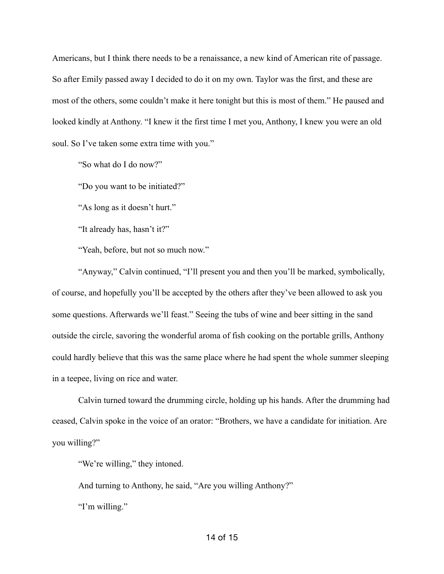Americans, but I think there needs to be a renaissance, a new kind of American rite of passage. So after Emily passed away I decided to do it on my own. Taylor was the first, and these are most of the others, some couldn't make it here tonight but this is most of them." He paused and looked kindly at Anthony. "I knew it the first time I met you, Anthony, I knew you were an old soul. So I've taken some extra time with you."

"So what do I do now?"

"Do you want to be initiated?"

"As long as it doesn't hurt."

"It already has, hasn't it?"

"Yeah, before, but not so much now."

"Anyway," Calvin continued, "I'll present you and then you'll be marked, symbolically, of course, and hopefully you'll be accepted by the others after they've been allowed to ask you some questions. Afterwards we'll feast." Seeing the tubs of wine and beer sitting in the sand outside the circle, savoring the wonderful aroma of fish cooking on the portable grills, Anthony could hardly believe that this was the same place where he had spent the whole summer sleeping in a teepee, living on rice and water.

Calvin turned toward the drumming circle, holding up his hands. After the drumming had ceased, Calvin spoke in the voice of an orator: "Brothers, we have a candidate for initiation. Are you willing?"

"We're willing," they intoned.

And turning to Anthony, he said, "Are you willing Anthony?" "I'm willing."